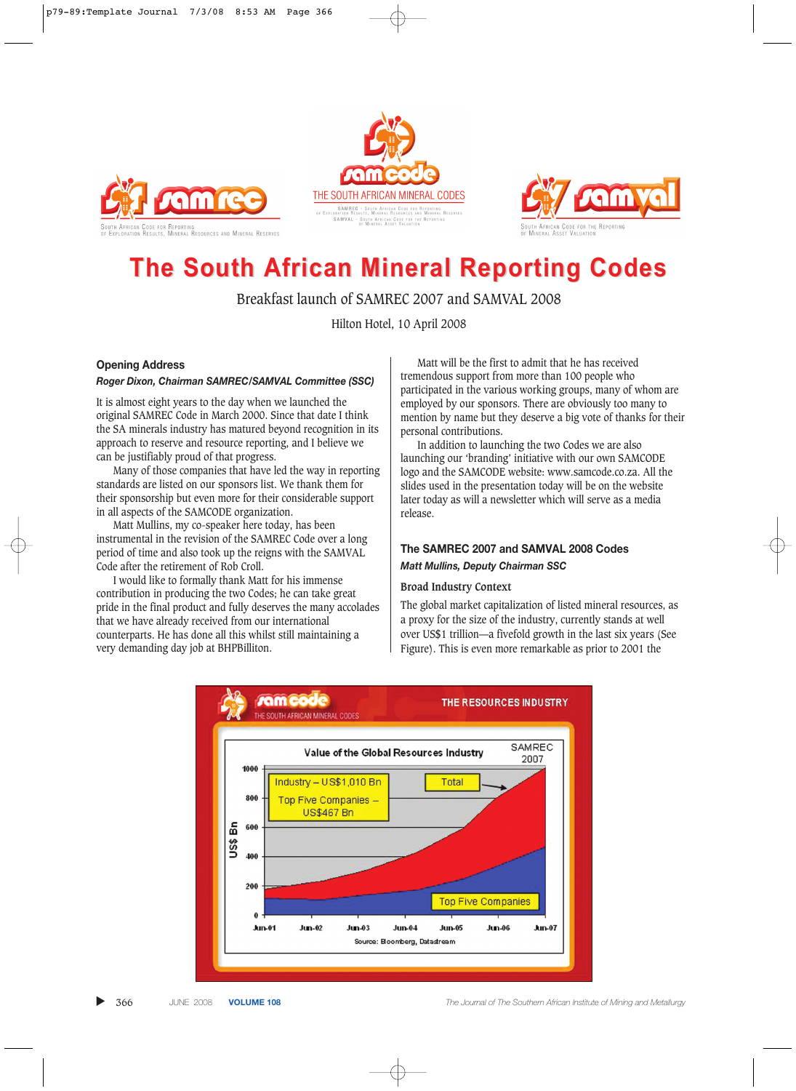





# **The South African Mineral Reporting Codes The South African Mineral Reporting Codes**

Breakfast launch of SAMREC 2007 and SAMVAL 2008

Hilton Hotel, 10 April 2008

# **Opening Address**

#### *Roger Dixon, Chairman SAMREC/SAMVAL Committee (SSC)*

It is almost eight years to the day when we launched the original SAMREC Code in March 2000. Since that date I think the SA minerals industry has matured beyond recognition in its approach to reserve and resource reporting, and I believe we can be justifiably proud of that progress.

Many of those companies that have led the way in reporting standards are listed on our sponsors list. We thank them for their sponsorship but even more for their considerable support in all aspects of the SAMCODE organization.

Matt Mullins, my co-speaker here today, has been instrumental in the revision of the SAMREC Code over a long period of time and also took up the reigns with the SAMVAL Code after the retirement of Rob Croll.

I would like to formally thank Matt for his immense contribution in producing the two Codes; he can take great pride in the final product and fully deserves the many accolades that we have already received from our international counterparts. He has done all this whilst still maintaining a very demanding day job at BHPBilliton.

Matt will be the first to admit that he has received tremendous support from more than 100 people who participated in the various working groups, many of whom are employed by our sponsors. There are obviously too many to mention by name but they deserve a big vote of thanks for their personal contributions.

In addition to launching the two Codes we are also launching our 'branding' initiative with our own SAMCODE logo and the SAMCODE website: www.samcode.co.za. All the slides used in the presentation today will be on the website later today as will a newsletter which will serve as a media release.

# **The SAMREC 2007 and SAMVAL 2008 Codes** *Matt Mullins, Deputy Chairman SSC*

#### **Broad Industry Context**

The global market capitalization of listed mineral resources, as a proxy for the size of the industry, currently stands at well over US\$1 trillion—a fivefold growth in the last six years (See Figure). This is even more remarkable as prior to 2001 the

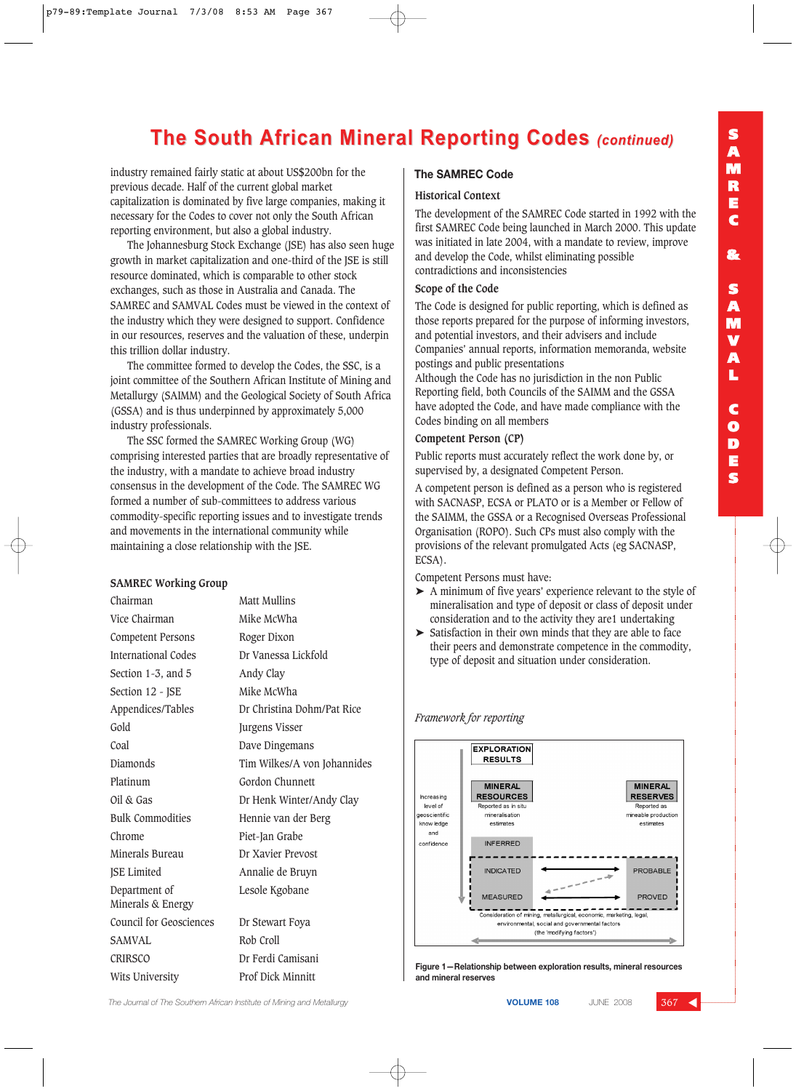# **The South African Mineral Reporting Codes (continued)**

industry remained fairly static at about US\$200bn for the previous decade. Half of the current global market capitalization is dominated by five large companies, making it necessary for the Codes to cover not only the South African reporting environment, but also a global industry.

The Johannesburg Stock Exchange (JSE) has also seen huge growth in market capitalization and one-third of the JSE is still resource dominated, which is comparable to other stock exchanges, such as those in Australia and Canada. The SAMREC and SAMVAL Codes must be viewed in the context of the industry which they were designed to support. Confidence in our resources, reserves and the valuation of these, underpin this trillion dollar industry.

The committee formed to develop the Codes, the SSC, is a joint committee of the Southern African Institute of Mining and Metallurgy (SAIMM) and the Geological Society of South Africa (GSSA) and is thus underpinned by approximately 5,000 industry professionals.

The SSC formed the SAMREC Working Group (WG) comprising interested parties that are broadly representative of the industry, with a mandate to achieve broad industry consensus in the development of the Code. The SAMREC WG formed a number of sub-committees to address various commodity-specific reporting issues and to investigate trends and movements in the international community while maintaining a close relationship with the JSE.

#### **SAMREC Working Group**

| Chairman                           | <b>Matt Mullins</b>         |
|------------------------------------|-----------------------------|
| Vice Chairman                      | Mike McWha                  |
| Competent Persons                  | Roger Dixon                 |
| <b>International Codes</b>         | Dr Vanessa Lickfold         |
| Section 1-3, and 5                 | Andy Clay                   |
| Section 12 - JSE                   | Mike McWha                  |
| Appendices/Tables                  | Dr Christina Dohm/Pat Rice  |
| Gold                               | Jurgens Visser              |
| Coal                               | Dave Dingemans              |
| Diamonds                           | Tim Wilkes/A von Johannides |
| Platinum                           | Gordon Chunnett             |
| Oil & Gas                          | Dr Henk Winter/Andy Clay    |
| <b>Bulk Commodities</b>            | Hennie van der Berg         |
| Chrome                             | Piet-Jan Grabe              |
| Minerals Bureau                    | Dr Xavier Prevost           |
| <b>JSE Limited</b>                 | Annalie de Bruyn            |
| Department of<br>Minerals & Energy | Lesole Kgobane              |
| <b>Council for Geosciences</b>     | Dr Stewart Foya             |
| SAMVAL                             | Rob Croll                   |
| CRIRSCO                            | Dr Ferdi Camisani           |
| Wits University                    | Prof Dick Minnitt           |

## **The SAMREC Code**

#### **Historical Context**

The development of the SAMREC Code started in 1992 with the first SAMREC Code being launched in March 2000. This update was initiated in late 2004, with a mandate to review, improve and develop the Code, whilst eliminating possible contradictions and inconsistencies

## **Scope of the Code**

The Code is designed for public reporting, which is defined as those reports prepared for the purpose of informing investors, and potential investors, and their advisers and include Companies' annual reports, information memoranda, website postings and public presentations

Although the Code has no jurisdiction in the non Public Reporting field, both Councils of the SAIMM and the GSSA have adopted the Code, and have made compliance with the Codes binding on all members

## **Competent Person (CP)**

Public reports must accurately reflect the work done by, or supervised by, a designated Competent Person.

A competent person is defined as a person who is registered with SACNASP, ECSA or PLATO or is a Member or Fellow of the SAIMM, the GSSA or a Recognised Overseas Professional Organisation (ROPO). Such CPs must also comply with the provisions of the relevant promulgated Acts (eg SACNASP, ECSA).

Competent Persons must have:

- ➤ A minimum of five years' experience relevant to the style of mineralisation and type of deposit or class of deposit under consideration and to the activity they are1 undertaking
- Satisfaction in their own minds that they are able to face their peers and demonstrate competence in the commodity, type of deposit and situation under consideration.

## *Framework for reporting*



**Figure 1—Relationship between exploration results, mineral resources and mineral reserves**

**The Journal of The Southern African Institute of Mining and Metallurgy <b>VOLUME 108 VOLUME 108** JUNE 2008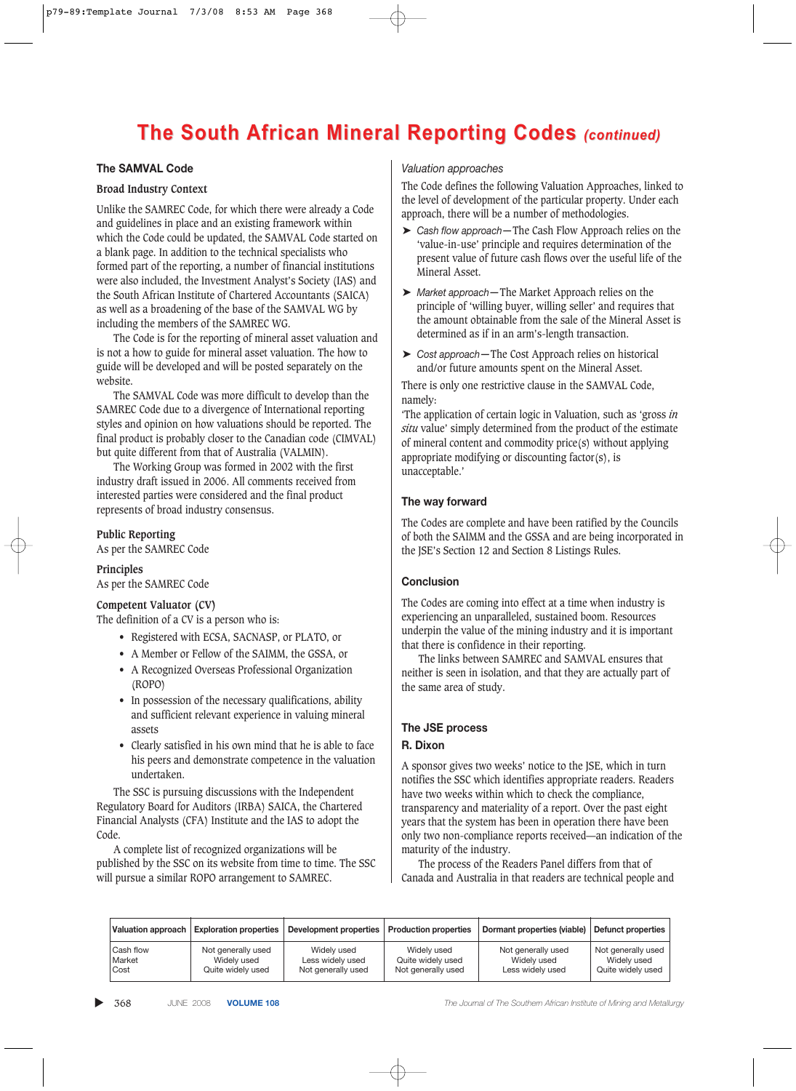# **The South African Mineral Reporting Codes (continued)**

# **The SAMVAL Code**

## **Broad Industry Context**

Unlike the SAMREC Code, for which there were already a Code and guidelines in place and an existing framework within which the Code could be updated, the SAMVAL Code started on a blank page. In addition to the technical specialists who formed part of the reporting, a number of financial institutions were also included, the Investment Analyst's Society (IAS) and the South African Institute of Chartered Accountants (SAICA) as well as a broadening of the base of the SAMVAL WG by including the members of the SAMREC WG.

The Code is for the reporting of mineral asset valuation and is not a how to guide for mineral asset valuation. The how to guide will be developed and will be posted separately on the website.

The SAMVAL Code was more difficult to develop than the SAMREC Code due to a divergence of International reporting styles and opinion on how valuations should be reported. The final product is probably closer to the Canadian code (CIMVAL) but quite different from that of Australia (VALMIN).

The Working Group was formed in 2002 with the first industry draft issued in 2006. All comments received from interested parties were considered and the final product represents of broad industry consensus.

#### **Public Reporting**

As per the SAMREC Code

**Principles** As per the SAMREC Code

#### **Competent Valuator (CV)**

The definition of a CV is a person who is:

- Registered with ECSA, SACNASP, or PLATO, or
- A Member or Fellow of the SAIMM, the GSSA, or
- A Recognized Overseas Professional Organization (ROPO)
- In possession of the necessary qualifications, ability and sufficient relevant experience in valuing mineral assets
- Clearly satisfied in his own mind that he is able to face his peers and demonstrate competence in the valuation undertaken.

The SSC is pursuing discussions with the Independent Regulatory Board for Auditors (IRBA) SAICA, the Chartered Financial Analysts (CFA) Institute and the IAS to adopt the Code.

A complete list of recognized organizations will be published by the SSC on its website from time to time. The SSC will pursue a similar ROPO arrangement to SAMREC.

### *Valuation approaches*

The Code defines the following Valuation Approaches, linked to the level of development of the particular property. Under each approach, there will be a number of methodologies.

- ➤ *Cash flow approach—*The Cash Flow Approach relies on the 'value-in-use' principle and requires determination of the present value of future cash flows over the useful life of the Mineral Asset.
- ➤ *Market approach—*The Market Approach relies on the principle of 'willing buyer, willing seller' and requires that the amount obtainable from the sale of the Mineral Asset is determined as if in an arm's-length transaction.
- ➤ *Cost approach—*The Cost Approach relies on historical and/or future amounts spent on the Mineral Asset.

There is only one restrictive clause in the SAMVAL Code, namely:

'The application of certain logic in Valuation, such as 'gross *in situ* value' simply determined from the product of the estimate of mineral content and commodity price(s) without applying appropriate modifying or discounting factor(s), is unacceptable.'

## **The way forward**

The Codes are complete and have been ratified by the Councils of both the SAIMM and the GSSA and are being incorporated in the JSE's Section 12 and Section 8 Listings Rules.

## **Conclusion**

The Codes are coming into effect at a time when industry is experiencing an unparalleled, sustained boom. Resources underpin the value of the mining industry and it is important that there is confidence in their reporting.

The links between SAMREC and SAMVAL ensures that neither is seen in isolation, and that they are actually part of the same area of study.

# **The JSE process**

# **R. Dixon**

A sponsor gives two weeks' notice to the JSE, which in turn notifies the SSC which identifies appropriate readers. Readers have two weeks within which to check the compliance, transparency and materiality of a report. Over the past eight years that the system has been in operation there have been only two non-compliance reports received—an indication of the maturity of the industry.

The process of the Readers Panel differs from that of Canada and Australia in that readers are technical people and

| <b>Valuation approach</b> | <b>Exploration properties</b> | Development properties | <b>Production properties</b> | Dormant properties (viable) | Defunct properties |
|---------------------------|-------------------------------|------------------------|------------------------------|-----------------------------|--------------------|
| Cash flow                 | Not generally used            | Widely used            | Widely used                  | Not generally used          | Not generally used |
| Market                    | Widely used                   | Less widely used       | Quite widely used            | Widely used                 | Widely used        |
| Cost                      | Quite widely used             | Not generally used     | Not generally used           | Less widely used            | Quite widely used  |

▲

368 JUNE 2008 **VOLUME 108** *The Journal of The Southern African Institute of Mining and Metallurgy*